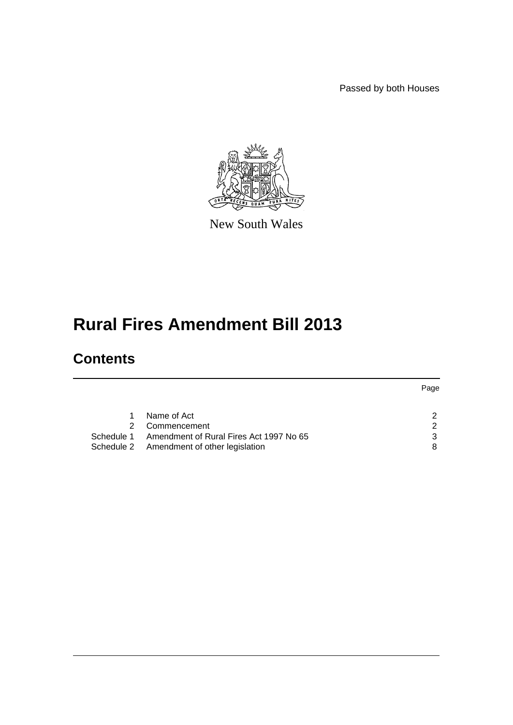Passed by both Houses



New South Wales

# **Rural Fires Amendment Bill 2013**

# **Contents**

|            |                                           | Page          |
|------------|-------------------------------------------|---------------|
|            |                                           |               |
|            | Name of Act                               | $\mathcal{P}$ |
|            | Commencement                              | າ             |
| Schedule 1 | Amendment of Rural Fires Act 1997 No 65   | 3             |
|            | Schedule 2 Amendment of other legislation | 8             |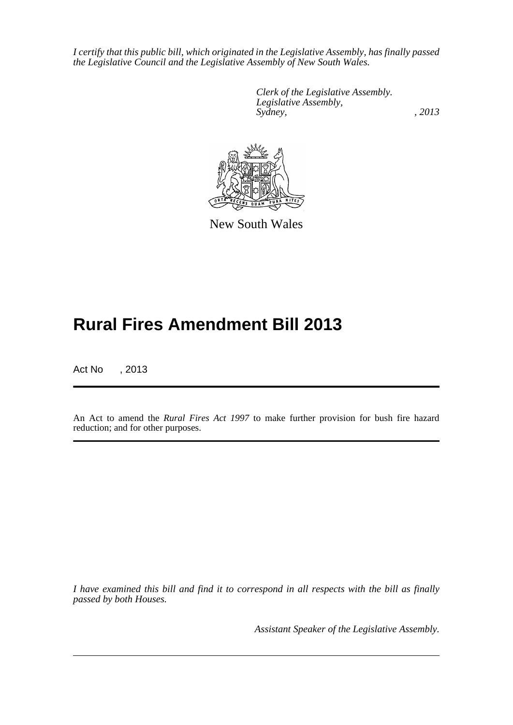*I certify that this public bill, which originated in the Legislative Assembly, has finally passed the Legislative Council and the Legislative Assembly of New South Wales.*

> *Clerk of the Legislative Assembly. Legislative Assembly, Sydney, , 2013*



New South Wales

# **Rural Fires Amendment Bill 2013**

Act No , 2013

An Act to amend the *Rural Fires Act 1997* to make further provision for bush fire hazard reduction; and for other purposes.

*I have examined this bill and find it to correspond in all respects with the bill as finally passed by both Houses.*

*Assistant Speaker of the Legislative Assembly.*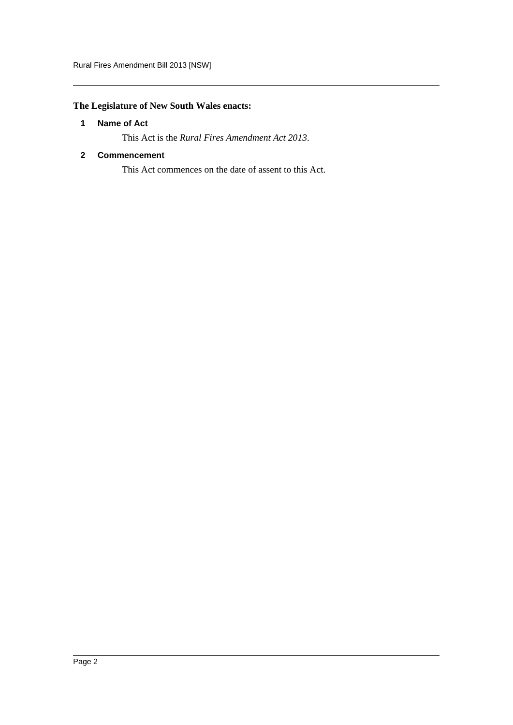# <span id="page-2-0"></span>**The Legislature of New South Wales enacts:**

### **1 Name of Act**

This Act is the *Rural Fires Amendment Act 2013*.

### <span id="page-2-1"></span>**2 Commencement**

This Act commences on the date of assent to this Act.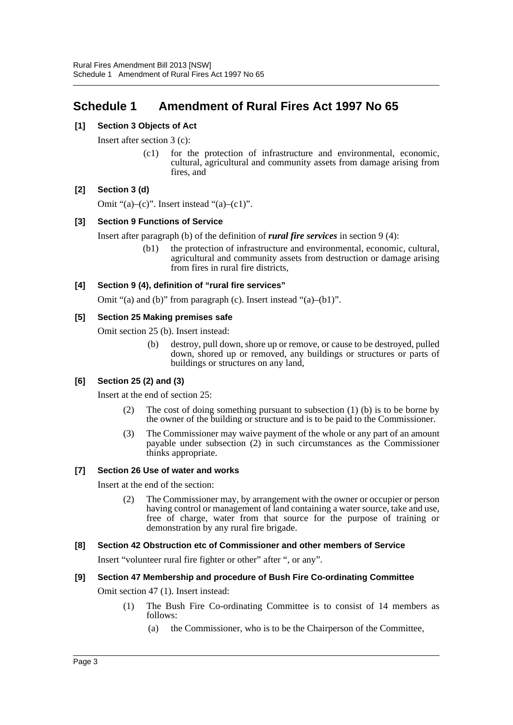# <span id="page-3-0"></span>**Schedule 1 Amendment of Rural Fires Act 1997 No 65**

#### **[1] Section 3 Objects of Act**

Insert after section 3 (c):

(c1) for the protection of infrastructure and environmental, economic, cultural, agricultural and community assets from damage arising from fires, and

#### **[2] Section 3 (d)**

Omit " $(a)$ – $(c)$ ". Insert instead " $(a)$ – $(c1)$ ".

#### **[3] Section 9 Functions of Service**

Insert after paragraph (b) of the definition of *rural fire services* in section 9 (4):

(b1) the protection of infrastructure and environmental, economic, cultural, agricultural and community assets from destruction or damage arising from fires in rural fire districts,

#### **[4] Section 9 (4), definition of "rural fire services"**

Omit "(a) and (b)" from paragraph (c). Insert instead "(a)–(b1)".

#### **[5] Section 25 Making premises safe**

Omit section 25 (b). Insert instead:

(b) destroy, pull down, shore up or remove, or cause to be destroyed, pulled down, shored up or removed, any buildings or structures or parts of buildings or structures on any land,

#### **[6] Section 25 (2) and (3)**

Insert at the end of section 25:

- (2) The cost of doing something pursuant to subsection (1) (b) is to be borne by the owner of the building or structure and is to be paid to the Commissioner.
- (3) The Commissioner may waive payment of the whole or any part of an amount payable under subsection (2) in such circumstances as the Commissioner thinks appropriate.

#### **[7] Section 26 Use of water and works**

Insert at the end of the section:

(2) The Commissioner may, by arrangement with the owner or occupier or person having control or management of land containing a water source, take and use, free of charge, water from that source for the purpose of training or demonstration by any rural fire brigade.

#### **[8] Section 42 Obstruction etc of Commissioner and other members of Service**

Insert "volunteer rural fire fighter or other" after ", or any".

#### **[9] Section 47 Membership and procedure of Bush Fire Co-ordinating Committee**

Omit section 47 (1). Insert instead:

- (1) The Bush Fire Co-ordinating Committee is to consist of 14 members as follows:
	- (a) the Commissioner, who is to be the Chairperson of the Committee,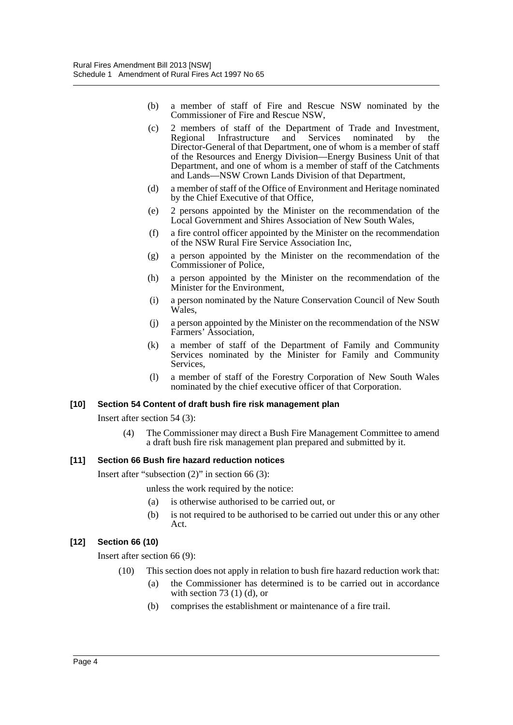- (b) a member of staff of Fire and Rescue NSW nominated by the Commissioner of Fire and Rescue NSW,
- (c) 2 members of staff of the Department of Trade and Investment, Regional Infrastructure and Services nominated by the Director-General of that Department, one of whom is a member of staff of the Resources and Energy Division—Energy Business Unit of that Department, and one of whom is a member of staff of the Catchments and Lands—NSW Crown Lands Division of that Department,
- (d) a member of staff of the Office of Environment and Heritage nominated by the Chief Executive of that Office,
- (e) 2 persons appointed by the Minister on the recommendation of the Local Government and Shires Association of New South Wales,
- (f) a fire control officer appointed by the Minister on the recommendation of the NSW Rural Fire Service Association Inc,
- (g) a person appointed by the Minister on the recommendation of the Commissioner of Police,
- (h) a person appointed by the Minister on the recommendation of the Minister for the Environment,
- (i) a person nominated by the Nature Conservation Council of New South Wales,
- (j) a person appointed by the Minister on the recommendation of the NSW Farmers' Association,
- (k) a member of staff of the Department of Family and Community Services nominated by the Minister for Family and Community Services,
- (l) a member of staff of the Forestry Corporation of New South Wales nominated by the chief executive officer of that Corporation.

#### **[10] Section 54 Content of draft bush fire risk management plan**

Insert after section 54 (3):

(4) The Commissioner may direct a Bush Fire Management Committee to amend a draft bush fire risk management plan prepared and submitted by it.

#### **[11] Section 66 Bush fire hazard reduction notices**

Insert after "subsection (2)" in section 66 (3):

unless the work required by the notice:

- (a) is otherwise authorised to be carried out, or
- (b) is not required to be authorised to be carried out under this or any other Act.

### **[12] Section 66 (10)**

Insert after section 66 (9):

- (10) This section does not apply in relation to bush fire hazard reduction work that:
	- (a) the Commissioner has determined is to be carried out in accordance with section 73 $(1)$  $(d)$ , or
		- (b) comprises the establishment or maintenance of a fire trail.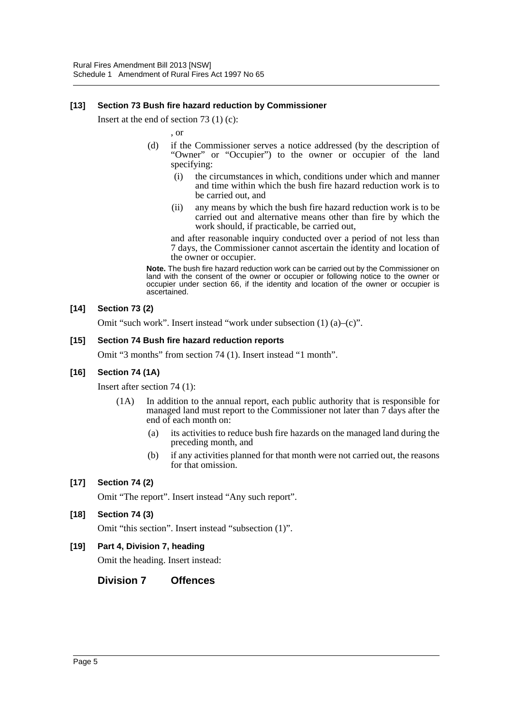#### **[13] Section 73 Bush fire hazard reduction by Commissioner**

Insert at the end of section 73 (1) (c):

, or

- (d) if the Commissioner serves a notice addressed (by the description of "Owner" or "Occupier") to the owner or occupier of the land specifying:
	- (i) the circumstances in which, conditions under which and manner and time within which the bush fire hazard reduction work is to be carried out, and
	- (ii) any means by which the bush fire hazard reduction work is to be carried out and alternative means other than fire by which the work should, if practicable, be carried out,

and after reasonable inquiry conducted over a period of not less than 7 days, the Commissioner cannot ascertain the identity and location of the owner or occupier.

**Note.** The bush fire hazard reduction work can be carried out by the Commissioner on land with the consent of the owner or occupier or following notice to the owner or occupier under section 66, if the identity and location of the owner or occupier is ascertained.

#### **[14] Section 73 (2)**

Omit "such work". Insert instead "work under subsection (1) (a)–(c)".

#### **[15] Section 74 Bush fire hazard reduction reports**

Omit "3 months" from section 74 (1). Insert instead "1 month".

#### **[16] Section 74 (1A)**

Insert after section 74 (1):

- (1A) In addition to the annual report, each public authority that is responsible for managed land must report to the Commissioner not later than 7 days after the end of each month on:
	- (a) its activities to reduce bush fire hazards on the managed land during the preceding month, and
	- (b) if any activities planned for that month were not carried out, the reasons for that omission.

#### **[17] Section 74 (2)**

Omit "The report". Insert instead "Any such report".

#### **[18] Section 74 (3)**

Omit "this section". Insert instead "subsection (1)".

### **[19] Part 4, Division 7, heading**

Omit the heading. Insert instead:

**Division 7 Offences**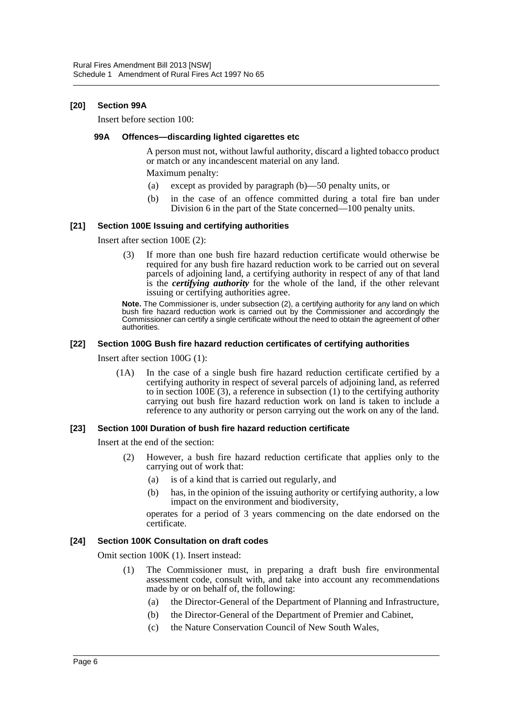#### **[20] Section 99A**

Insert before section 100:

#### **99A Offences—discarding lighted cigarettes etc**

A person must not, without lawful authority, discard a lighted tobacco product or match or any incandescent material on any land.

Maximum penalty:

- (a) except as provided by paragraph (b)—50 penalty units, or
- (b) in the case of an offence committed during a total fire ban under Division 6 in the part of the State concerned—100 penalty units.

#### **[21] Section 100E Issuing and certifying authorities**

Insert after section 100E (2):

(3) If more than one bush fire hazard reduction certificate would otherwise be required for any bush fire hazard reduction work to be carried out on several parcels of adjoining land, a certifying authority in respect of any of that land is the *certifying authority* for the whole of the land, if the other relevant issuing or certifying authorities agree.

**Note.** The Commissioner is, under subsection (2), a certifying authority for any land on which bush fire hazard reduction work is carried out by the Commissioner and accordingly the Commissioner can certify a single certificate without the need to obtain the agreement of other authorities.

#### **[22] Section 100G Bush fire hazard reduction certificates of certifying authorities**

Insert after section 100G (1):

(1A) In the case of a single bush fire hazard reduction certificate certified by a certifying authority in respect of several parcels of adjoining land, as referred to in section 100E (3), a reference in subsection (1) to the certifying authority carrying out bush fire hazard reduction work on land is taken to include a reference to any authority or person carrying out the work on any of the land.

#### **[23] Section 100I Duration of bush fire hazard reduction certificate**

Insert at the end of the section:

- (2) However, a bush fire hazard reduction certificate that applies only to the carrying out of work that:
	- (a) is of a kind that is carried out regularly, and
	- (b) has, in the opinion of the issuing authority or certifying authority, a low impact on the environment and biodiversity,

operates for a period of 3 years commencing on the date endorsed on the certificate.

#### **[24] Section 100K Consultation on draft codes**

Omit section 100K (1). Insert instead:

- (1) The Commissioner must, in preparing a draft bush fire environmental assessment code, consult with, and take into account any recommendations made by or on behalf of, the following:
	- (a) the Director-General of the Department of Planning and Infrastructure,
	- (b) the Director-General of the Department of Premier and Cabinet,
	- (c) the Nature Conservation Council of New South Wales,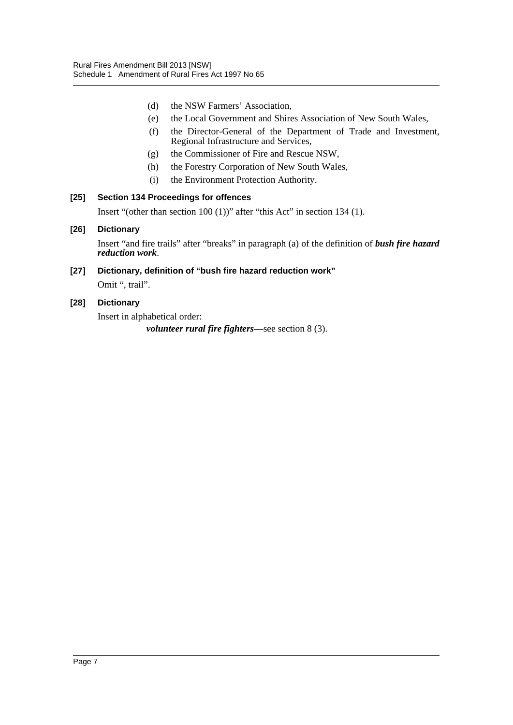- (d) the NSW Farmers' Association,
- (e) the Local Government and Shires Association of New South Wales,
- (f) the Director-General of the Department of Trade and Investment, Regional Infrastructure and Services,
- (g) the Commissioner of Fire and Rescue NSW,
- (h) the Forestry Corporation of New South Wales,
- (i) the Environment Protection Authority.

#### **[25] Section 134 Proceedings for offences**

Insert "(other than section 100 (1))" after "this Act" in section 134 (1).

#### **[26] Dictionary**

Insert "and fire trails" after "breaks" in paragraph (a) of the definition of *bush fire hazard reduction work*.

# **[27] Dictionary, definition of "bush fire hazard reduction work"**

Omit ", trail".

#### **[28] Dictionary**

Insert in alphabetical order: *volunteer rural fire fighters*—see section 8 (3).